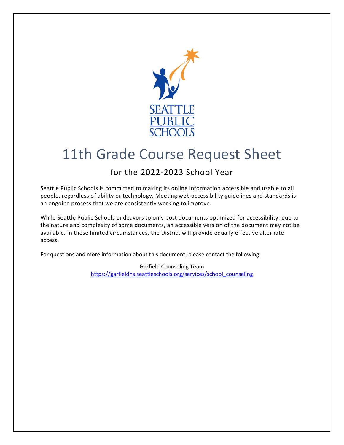

# 11th Grade Course Request Sheet

### for the 2022-2023 School Year

Seattle Public Schools is committed to making its online information accessible and usable to all people, regardless of ability or technology. Meeting web accessibility guidelines and standards is an ongoing process that we are consistently working to improve.

While Seattle Public Schools endeavors to only post documents optimized for accessibility, due to the nature and complexity of some documents, an accessible version of the document may not be available. In these limited circumstances, the District will provide equally effective alternate access.

For questions and more information about this document, please contact the following:

Garfield Counseling Team [https://garfieldhs.seattleschools.org/services/school\\_counseling](https://garfieldhs.seattleschools.org/services/school_counseling)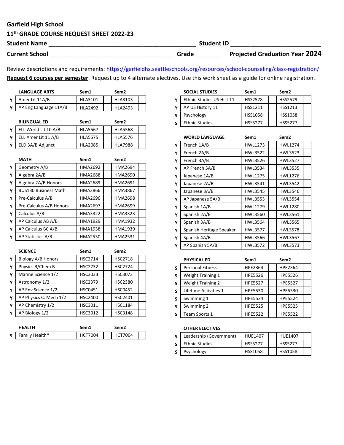### Garfield High School

## 11<sup>th</sup> GRADE COURSE REQUEST SHEET 2022-23<br>Student Name

| <b>Student Name</b>   |       | <b>Student ID</b>                     |
|-----------------------|-------|---------------------------------------|
| <b>Current School</b> | Grade | <b>Projected Graduation Year 2024</b> |

Review descriptions and requirements: <https://garfieldhs.seattleschools.org/resources/school-counseling/class-registration>/ Request 6 courses per semester. Request up to 4 alternate electives. Use this work sheet as a guide for online registration.

| <b>LANGUAGE ARTS</b>  | Sem1           | Sem2           |  |
|-----------------------|----------------|----------------|--|
| Amer Lit 11A/B        | <b>HLA3101</b> | HLA3103        |  |
| AP Eng Language 11A/B | HI A2492       | <b>HLA2493</b> |  |

| <b>BILINGUAL ED</b>  | Sem <sub>1</sub> | Sem <sub>2</sub> |  |
|----------------------|------------------|------------------|--|
| ELL World Lit 10 A/B | <b>HLA5567</b>   | <b>HLA5568</b>   |  |
| ELL Amer Lit 11 A/B  | <b>HLA5575</b>   | <b>HLA5576</b>   |  |
| ELD 3A/B Adjunct     | <b>HLA2085</b>   | <b>HLA7988</b>   |  |

|   | <b>MATH</b>                 | Sem1           | Sem <sub>2</sub> |  |
|---|-----------------------------|----------------|------------------|--|
| Y | Geometry A/B                | HMA2692        | HMA2694          |  |
| Y | Algebra 2A/B                | HMA2688        | <b>HMA2690</b>   |  |
| Y | Algebra 2A/B Honors         | <b>HMA2689</b> | <b>HMA2691</b>   |  |
| Y | <b>BUS130 Business Math</b> | HMA3866        | <b>HMA3867</b>   |  |
| Υ | Pre-Calculus A/B            | HMA2696        | <b>HMA2698</b>   |  |
| Y | Pre-Calculus A/B Honors     | <b>HMA2697</b> | <b>HMA2699</b>   |  |
| Y | Calculus A/B                | <b>HMA3322</b> | HMA3323          |  |
| Y | AP Calculus AB A/B          | HMA1929        | <b>HMA1932</b>   |  |
| Y | AP Calculus BC A/B          | HMA1938        | HMA1939          |  |
| Y | <b>AP Statistics A/B</b>    | <b>HMA2530</b> | <b>HMA2531</b>   |  |

|   | <b>SCIENCE</b>         | Sem1           | Sem <sub>2</sub> |
|---|------------------------|----------------|------------------|
| Y | Biology A/B Honors     | <b>HSC2714</b> | <b>HSC2718</b>   |
| Υ | Physics B/Chem B       | <b>HSC2732</b> | <b>HSC2724</b>   |
| Y | Marine Science 1/2     | HSC3033        | <b>HSC3073</b>   |
| Υ | Astronomy 1/2          | <b>HSC2379</b> | <b>HSC2380</b>   |
| Υ | AP Env Science 1/2     | <b>HSC0451</b> | <b>HSC0452</b>   |
| Υ | AP Physics C: Mech 1/2 | <b>HSC2400</b> | HSC2401          |
| Υ | AP Chemistry 1/2       | HSC3011        | <b>HSC1184</b>   |
| Υ | AP Biology 1/2         | HSC3012        | <b>HSC3148</b>   |
|   |                        |                |                  |

|                | <b>HFAITH</b>  | Sem1 | Sem2           |  |
|----------------|----------------|------|----------------|--|
| S <sub>1</sub> | Family Health* | 7004 | <b>HCT7004</b> |  |

|   | <b>SOCIAL STUDIES</b>     | Sem1           | Sem <sub>2</sub> |  |
|---|---------------------------|----------------|------------------|--|
| Υ | Ethnic Studies US Hist 11 | <b>HSS2578</b> | <b>HSS2579</b>   |  |
| Υ | AP US History 11          | HSS1211        | HSS1213          |  |
| S | Psychology                | <b>HSS1058</b> | <b>HSS1058</b>   |  |
| S | <b>Ethnic Studies</b>     | <b>HSS5277</b> | <b>HSS5277</b>   |  |

|   | <b>WORLD LANGUAGE</b>    | Sem1           | Sem <sub>2</sub> |
|---|--------------------------|----------------|------------------|
| Y | French 1A/B              | HWL1273        | <b>HWL1274</b>   |
| Υ | French 2A/B              | <b>HWL3522</b> | <b>HWL3523</b>   |
| Υ | French 3A/B              | <b>HWL3526</b> | <b>HWL3527</b>   |
| Υ | AP French 5A/B           | <b>HWL3534</b> | <b>HWL3535</b>   |
| Y | Japanese 1A/B            | <b>HWL1275</b> | HWL1276          |
| Y | Japanese 2A/B            | HWL3541        | <b>HWL3542</b>   |
| Y | Japanese 3A/B            | <b>HWL3545</b> | <b>HWL3546</b>   |
| Y | AP Japanese 5A/B         | HWL3553        | <b>HWL3554</b>   |
| Y | Spanish 1A/B             | HWL1279        | <b>HWL1280</b>   |
| Υ | Spanish 2A/B             | <b>HWL3560</b> | <b>HWL3561</b>   |
| Y | Spanish 3A/B             | <b>HWL3564</b> | <b>HWL3565</b>   |
| Y | Spanish Heritage Speaker | <b>HWL3577</b> | <b>HWL3578</b>   |
| Y | Spanish 4A/B             | <b>HWL3566</b> | HWL3567          |
| Υ | AP Spanish 5A/B          | <b>HWL3572</b> | <b>HWL3573</b>   |

|   | PHYSICAL ED              | Sem <sub>1</sub> | Sem <sub>2</sub> |  |
|---|--------------------------|------------------|------------------|--|
| S | <b>Personal Fitness</b>  | HPE2364          | HPE2364          |  |
| S | <b>Weight Training 1</b> | <b>HPE5526</b>   | <b>HPE5526</b>   |  |
| S | <b>Weight Training 2</b> | <b>HPE5527</b>   | <b>HPE5527</b>   |  |
| S | Lifetime Activities 1    | <b>HPE5530</b>   | <b>HPE5530</b>   |  |
| S | Swimming 1               | <b>HPE5524</b>   | <b>HPE5524</b>   |  |
| S | Swimming 2               | <b>HPE5525</b>   | <b>HPE5525</b>   |  |
| S | Team Sports 1            | <b>HPE5522</b>   | <b>HPE5522</b>   |  |

#### OTHER ELECTIVES

| Leadership (Government) | <b>HUF1407</b> | <b>HUE1407</b> |  |
|-------------------------|----------------|----------------|--|
| <b>Ethnic Studies</b>   | <b>HSS5277</b> | <b>HSS5277</b> |  |
| Psychology              | <b>HSS1058</b> | <b>HSS1058</b> |  |